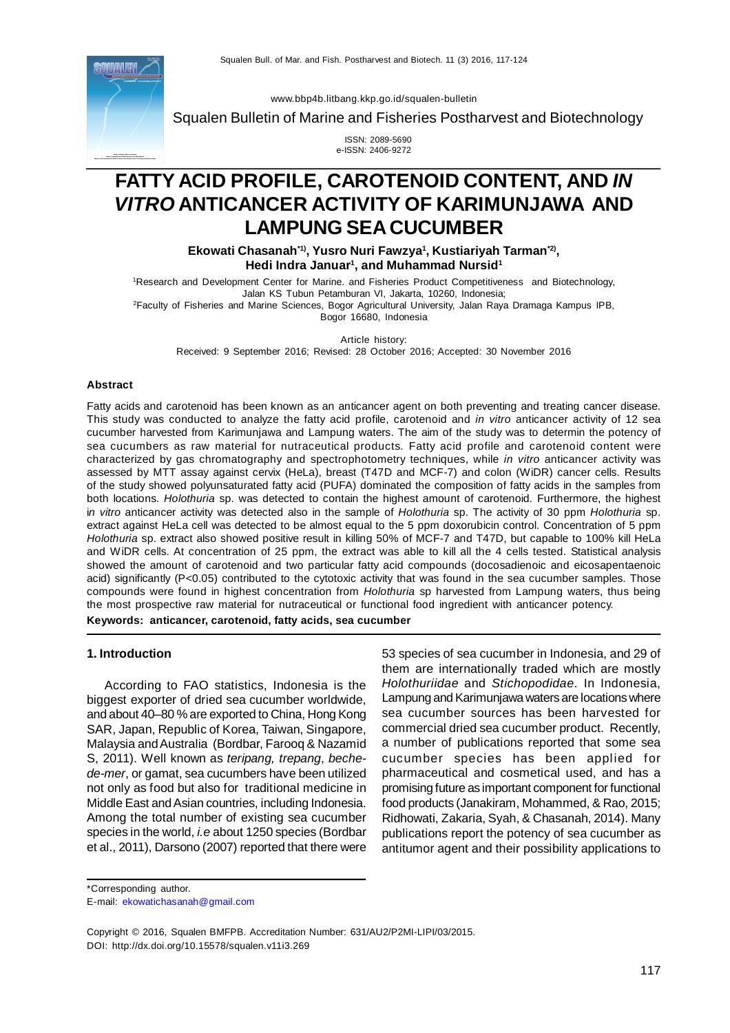

[www.bbp4b.litbang.kkp.go.id/squalen-bulletin](http://www.bbp4b.litbang.kkp.go.id/squalen-bulletin)

Squalen Bulletin of Marine and Fisheries Postharvest and Biotechnology

 ISSN: 2089-5690 e-ISSN: 2406-9272

# **FATTY ACID PROFILE, CAROTENOID CONTENT, AND** *IN VITRO* **ANTICANCER ACTIVITY OF KARIMUNJAWA AND LAMPUNG SEA CUCUMBER**

**Ekowati Chasanah\*1), Yusro Nuri Fawzya<sup>1</sup> , Kustiariyah Tarman\*2) , Hedi Indra Januar<sup>1</sup> , and Muhammad Nursid<sup>1</sup>**

<sup>1</sup>Research and Development Center for Marine. and Fisheries Product Competitiveness and Biotechnology, Jalan KS Tubun Petamburan VI, Jakarta, 10260, Indonesia; <sup>2</sup>Faculty of Fisheries and Marine Sciences, Bogor Agricultural University, Jalan Raya Dramaga Kampus IPB, Bogor 16680, Indonesia

Article history: Received: 9 September 2016; Revised: 28 October 2016; Accepted: 30 November 2016

#### **Abstract**

Fatty acids and carotenoid has been known as an anticancer agent on both preventing and treating cancer disease. This study was conducted to analyze the fatty acid profile, carotenoid and *in vitro* anticancer activity of 12 sea cucumber harvested from Karimunjawa and Lampung waters. The aim of the study was to determin the potency of sea cucumbers as raw material for nutraceutical products. Fatty acid profile and carotenoid content were characterized by gas chromatography and spectrophotometry techniques, while *in vitro* anticancer activity was assessed by MTT assay against cervix (HeLa), breast (T47D and MCF-7) and colon (WiDR) cancer cells. Results of the study showed polyunsaturated fatty acid (PUFA) dominated the composition of fatty acids in the samples from both locations. *Holothuria* sp. was detected to contain the highest amount of carotenoid. Furthermore, the highest i*n vitro* anticancer activity was detected also in the sample of *Holothuria* sp. The activity of 30 ppm *Holothuria* sp. extract against HeLa cell was detected to be almost equal to the 5 ppm doxorubicin control. Concentration of 5 ppm *Holothuria* sp. extract also showed positive result in killing 50% of MCF-7 and T47D, but capable to 100% kill HeLa and WiDR cells. At concentration of 25 ppm, the extract was able to kill all the 4 cells tested. Statistical analysis showed the amount of carotenoid and two particular fatty acid compounds (docosadienoic and eicosapentaenoic acid) significantly (P<0.05) contributed to the cytotoxic activity that was found in the sea cucumber samples. Those compounds were found in highest concentration from *Holothuria* sp harvested from Lampung waters, thus being the most prospective raw material for nutraceutical or functional food ingredient with anticancer potency. **Keywords: anticancer, carotenoid, fatty acids, sea cucumber**

#### **1. Introduction**

According to FAO statistics, Indonesia is the biggest exporter of dried sea cucumber worldwide, and about 40–80 % are exported to China, Hong Kong SAR, Japan, Republic of Korea, Taiwan, Singapore, Malaysia and Australia (Bordbar, Farooq & Nazamid S, 2011). Well known as *teripang, trepang*, *bechede-mer*, or gamat, sea cucumbers have been utilized not only as food but also for traditional medicine in Middle East and Asian countries, including Indonesia. Among the total number of existing sea cucumber species in the world, *i.e* about 1250 species (Bordbar et al., 2011), Darsono (2007) reported that there were 53 species of sea cucumber in Indonesia, and 29 of them are internationally traded which are mostly *Holothuriidae* and *Stichopodidae*. In Indonesia, Lampung and Karimunjawa waters are locations where sea cucumber sources has been harvested for commercial dried sea cucumber product. Recently, a number of publications reported that some sea cucumber species has been applied for pharmaceutical and cosmetical used, and has a promising future as important component for functional food products (Janakiram, Mohammed, & Rao, 2015; Ridhowati, Zakaria, Syah, & Chasanah, 2014). Many publications report the potency of sea cucumber as antitumor agent and their possibility applications to

\*Corresponding author.

E-mail: [ekowatichasanah@gmail.com](mailto:ekowatichasanah@gmail.com)

Copyright © 2016, Squalen BMFPB. Accreditation Number: 631/AU2/P2MI-LIPI/03/2015. DOI: <http://dx.doi.org/10.15578/squalen.v11i3.269>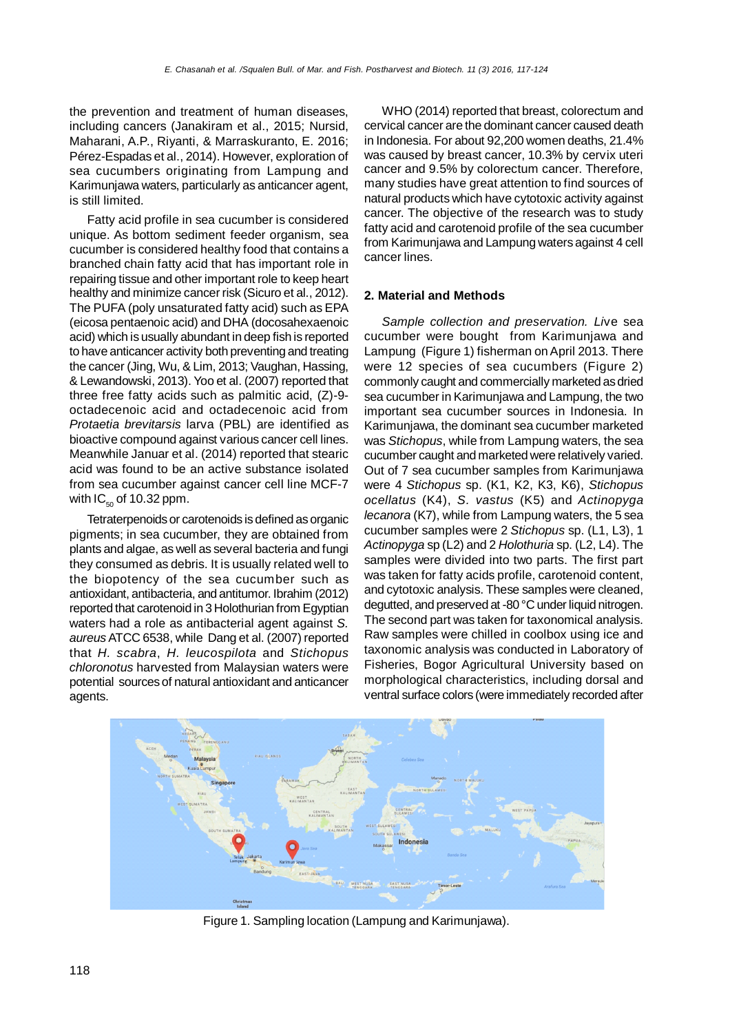the prevention and treatment of human diseases, including cancers (Janakiram et al., 2015; Nursid, Maharani, A.P., Riyanti, & Marraskuranto, E. 2016; Pérez-Espadas et al., 2014). However, exploration of sea cucumbers originating from Lampung and Karimunjawa waters, particularly as anticancer agent, is still limited.

Fatty acid profile in sea cucumber is considered unique. As bottom sediment feeder organism, sea cucumber is considered healthy food that contains a branched chain fatty acid that has important role in repairing tissue and other important role to keep heart healthy and minimize cancer risk (Sicuro et al., 2012). The PUFA (poly unsaturated fatty acid) such as EPA (eicosa pentaenoic acid) and DHA (docosahexaenoic acid) which is usually abundant in deep fish is reported to have anticancer activity both preventing and treating the cancer (Jing, Wu, & Lim, 2013; Vaughan, Hassing, & Lewandowski, 2013). Yoo et al. (2007) reported that three free fatty acids such as palmitic acid, (Z)-9 octadecenoic acid and octadecenoic acid from *Protaetia brevitarsis* larva (PBL) are identified as bioactive compound against various cancer cell lines. Meanwhile Januar et al. (2014) reported that stearic acid was found to be an active substance isolated from sea cucumber against cancer cell line MCF-7 with  $IC_{50}$  of 10.32 ppm.

Tetraterpenoids or carotenoids is defined as organic pigments; in sea cucumber, they are obtained from plants and algae, as well as several bacteria and fungi they consumed as debris. It is usually related well to the biopotency of the sea cucumber such as antioxidant, antibacteria, and antitumor. Ibrahim (2012) reported that carotenoid in 3 Holothurian from Egyptian waters had a role as antibacterial agent against *S. aureus* ATCC 6538, while Dang et al. (2007) reported that *H. scabra*, *H. leucospilota* and *Stichopus chloronotus* harvested from Malaysian waters were potential sources of natural antioxidant and anticancer agents.

WHO (2014) reported that breast, colorectum and cervical cancer are the dominant cancer caused death in Indonesia. For about 92,200 women deaths, 21.4% was caused by breast cancer, 10.3% by cervix uteri cancer and 9.5% by colorectum cancer. Therefore, many studies have great attention to find sources of natural products which have cytotoxic activity against cancer. The objective of the research was to study fatty acid and carotenoid profile of the sea cucumber from Karimunjawa and Lampung waters against 4 cell cancer lines.

## **2. Material and Methods**

*Sample collection and preservation. Li*ve sea cucumber were bought from Karimunjawa and Lampung (Figure 1) fisherman on April 2013. There were 12 species of sea cucumbers (Figure 2) commonly caught and commercially marketed as dried sea cucumber in Karimunjawa and Lampung, the two important sea cucumber sources in Indonesia. In Karimunjawa, the dominant sea cucumber marketed was *Stichopus*, while from Lampung waters, the sea cucumber caught and marketed were relatively varied. Out of 7 sea cucumber samples from Karimunjawa were 4 *Stichopus* sp. (K1, K2, K3, K6), *Stichopus ocellatus* (K4), *S. vastus* (K5) and *Actinopyga lecanora* (K7), while from Lampung waters, the 5 sea cucumber samples were 2 *Stichopus* sp. (L1, L3), 1 *Actinopyga* sp (L2) and 2 *Holothuria* sp. (L2, L4). The samples were divided into two parts. The first part was taken for fatty acids profile, carotenoid content, and cytotoxic analysis. These samples were cleaned, degutted, and preserved at -80 °C under liquid nitrogen. The second part was taken for taxonomical analysis. Raw samples were chilled in coolbox using ice and taxonomic analysis was conducted in Laboratory of Fisheries, Bogor Agricultural University based on morphological characteristics, including dorsal and ventral surface colors (were immediately recorded after



Figure 1. Sampling location (Lampung and Karimunjawa).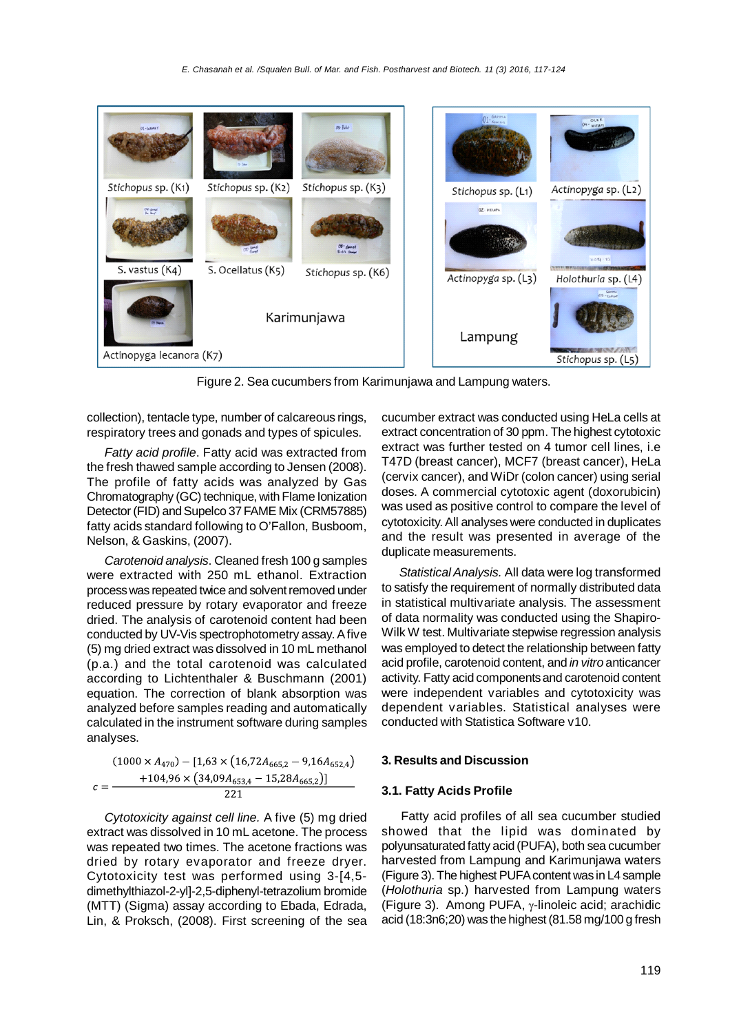

Figure 2. Sea cucumbers from Karimunjawa and Lampung waters.

collection), tentacle type, number of calcareous rings, respiratory trees and gonads and types of spicules.

*Fatty acid profile*. Fatty acid was extracted from the fresh thawed sample according to Jensen (2008). The profile of fatty acids was analyzed by Gas Chromatography (GC) technique, with Flame Ionization Detector (FID) and Supelco 37 FAME Mix (CRM57885) fatty acids standard following to O'Fallon, Busboom, Nelson, & Gaskins, (2007).

*Carotenoid analysis*. Cleaned fresh 100 g samples were extracted with 250 mL ethanol. Extraction process was repeated twice and solvent removed under reduced pressure by rotary evaporator and freeze dried. The analysis of carotenoid content had been conducted by UV-Vis spectrophotometry assay. A five (5) mg dried extract was dissolved in 10 mL methanol (p.a.) and the total carotenoid was calculated according to Lichtenthaler & Buschmann (2001) equation. The correction of blank absorption was analyzed before samples reading and automatically calculated in the instrument software during samples analyses.

$$
(1000 \times A_{470}) - [1,63 \times (16,72A_{665,2} - 9,16A_{652,4})
$$
  

$$
c = \frac{+104,96 \times (34,09A_{653,4} - 15,28A_{665,2})]}{221}
$$

*Cytotoxicity against cell line.* A five (5) mg dried extract was dissolved in 10 mL acetone. The process was repeated two times. The acetone fractions was dried by rotary evaporator and freeze dryer. Cytotoxicity test was performed using 3-[4,5 dimethylthiazol-2-yl]-2,5-diphenyl-tetrazolium bromide (MTT) (Sigma) assay according to Ebada, Edrada, Lin, & Proksch, (2008). First screening of the sea cucumber extract was conducted using HeLa cells at extract concentration of 30 ppm. The highest cytotoxic extract was further tested on 4 tumor cell lines, i.e T47D (breast cancer), MCF7 (breast cancer), HeLa (cervix cancer), and WiDr (colon cancer) using serial doses. A commercial cytotoxic agent (doxorubicin) was used as positive control to compare the level of cytotoxicity. All analyses were conducted in duplicates and the result was presented in average of the duplicate measurements.

*Statistical Analysis.* All data were log transformed to satisfy the requirement of normally distributed data in statistical multivariate analysis. The assessment of data normality was conducted using the Shapiro-Wilk W test. Multivariate stepwise regression analysis was employed to detect the relationship between fatty acid profile, carotenoid content, and *in vitro* anticancer activity. Fatty acid components and carotenoid content were independent variables and cytotoxicity was dependent variables. Statistical analyses were conducted with Statistica Software v10.

#### **3. Results and Discussion**

### **3.1. Fatty Acids Profile**

Fatty acid profiles of all sea cucumber studied showed that the lipid was dominated by polyunsaturated fatty acid (PUFA), both sea cucumber harvested from Lampung and Karimunjawa waters (Figure 3). The highest PUFA content was in L4 sample (*Holothuria* sp.) harvested from Lampung waters (Figure 3). Among PUFA,  $\gamma$ -linoleic acid; arachidic acid (18:3n6;20) was the highest (81.58 mg/100 g fresh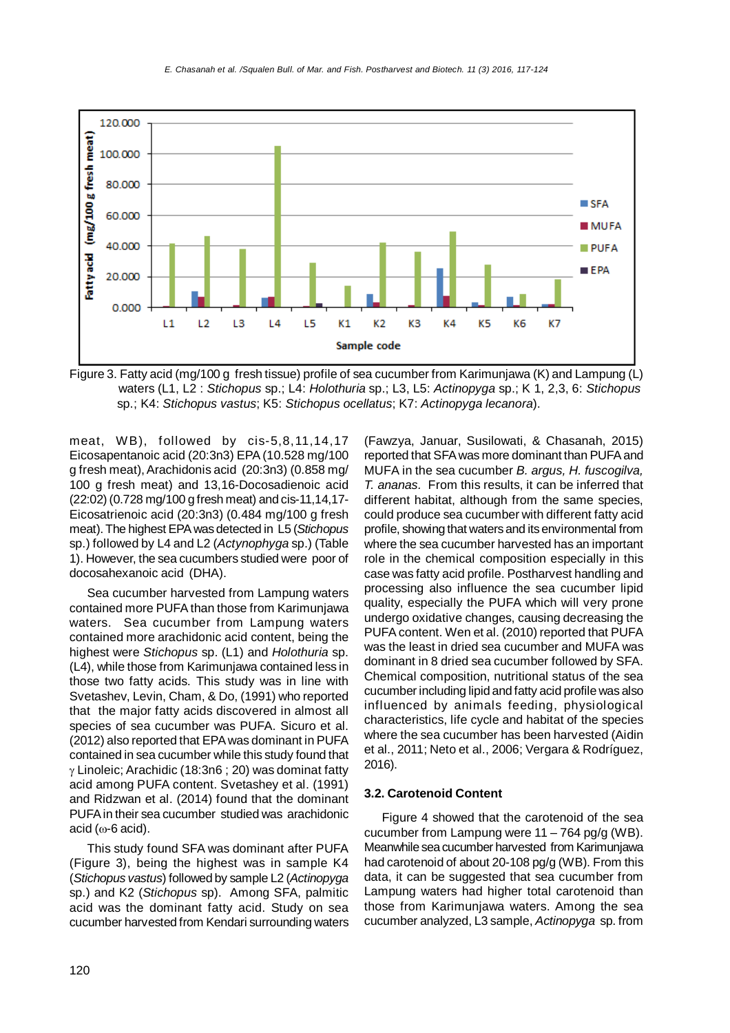

Figure 3. Fatty acid (mg/100 g fresh tissue) profile of sea cucumber from Karimunjawa (K) and Lampung (L) waters (L1, L2 : *Stichopus* sp.; L4: *Holothuria* sp.; L3, L5: *Actinopyga* sp.; K 1, 2,3, 6: *Stichopus* sp.; K4: *Stichopus vastus*; K5: *Stichopus ocellatus*; K7: *Actinopyga lecanora*).

meat, WB), followed by cis-5,8,11,14,17 Eicosapentanoic acid (20:3n3) EPA (10.528 mg/100 g fresh meat), Arachidonis acid (20:3n3) (0.858 mg/ 100 g fresh meat) and 13,16-Docosadienoic acid (22:02) (0.728 mg/100 g fresh meat) and cis-11,14,17- Eicosatrienoic acid (20:3n3) (0.484 mg/100 g fresh meat). The highest EPA was detected in L5 (*Stichopus* sp.) followed by L4 and L2 (*Actynophyga* sp.) (Table 1). However, the sea cucumbers studied were poor of docosahexanoic acid (DHA).

Sea cucumber harvested from Lampung waters contained more PUFA than those from Karimunjawa waters. Sea cucumber from Lampung waters contained more arachidonic acid content, being the highest were *Stichopus* sp. (L1) and *Holothuria* sp. (L4), while those from Karimunjawa contained less in those two fatty acids. This study was in line with Svetashev, Levin, Cham, & Do, (1991) who reported that the major fatty acids discovered in almost all species of sea cucumber was PUFA. Sicuro et al. (2012) also reported that EPA was dominant in PUFA contained in sea cucumber while this study found that  $\gamma$  Linoleic; Arachidic (18:3n6 ; 20) was dominat fatty acid among PUFA content. Svetashey et al. (1991) and Ridzwan et al. (2014) found that the dominant PUFA in their sea cucumber studied was arachidonic  $acid$  ( $\omega$ -6 acid).

This study found SFA was dominant after PUFA (Figure 3), being the highest was in sample K4 (*Stichopus vastus*) followed by sample L2 (*Actinopyga* sp.) and K2 (*Stichopus* sp). Among SFA, palmitic acid was the dominant fatty acid. Study on sea cucumber harvested from Kendari surrounding waters

(Fawzya, Januar, Susilowati, & Chasanah, 2015) reported that SFA was more dominant than PUFA and MUFA in the sea cucumber *B. argus, H. fuscogilva, T. ananas.* From this results, it can be inferred that different habitat, although from the same species, could produce sea cucumber with different fatty acid profile, showing that waters and its environmental from where the sea cucumber harvested has an important role in the chemical composition especially in this case was fatty acid profile. Postharvest handling and processing also influence the sea cucumber lipid quality, especially the PUFA which will very prone undergo oxidative changes, causing decreasing the PUFA content. Wen et al. (2010) reported that PUFA was the least in dried sea cucumber and MUFA was dominant in 8 dried sea cucumber followed by SFA. Chemical composition, nutritional status of the sea cucumber including lipid and fatty acid profile was also influenced by animals feeding, physiological characteristics, life cycle and habitat of the species where the sea cucumber has been harvested (Aidin et al., 2011; Neto et al., 2006; Vergara & Rodríguez, 2016).

## **3.2. Carotenoid Content**

Figure 4 showed that the carotenoid of the sea cucumber from Lampung were  $11 - 764$  pg/g (WB). Meanwhile sea cucumber harvested from Karimunjawa had carotenoid of about 20-108 pg/g (WB). From this data, it can be suggested that sea cucumber from Lampung waters had higher total carotenoid than those from Karimunjawa waters. Among the sea cucumber analyzed, L3 sample, *Actinopyga* sp. from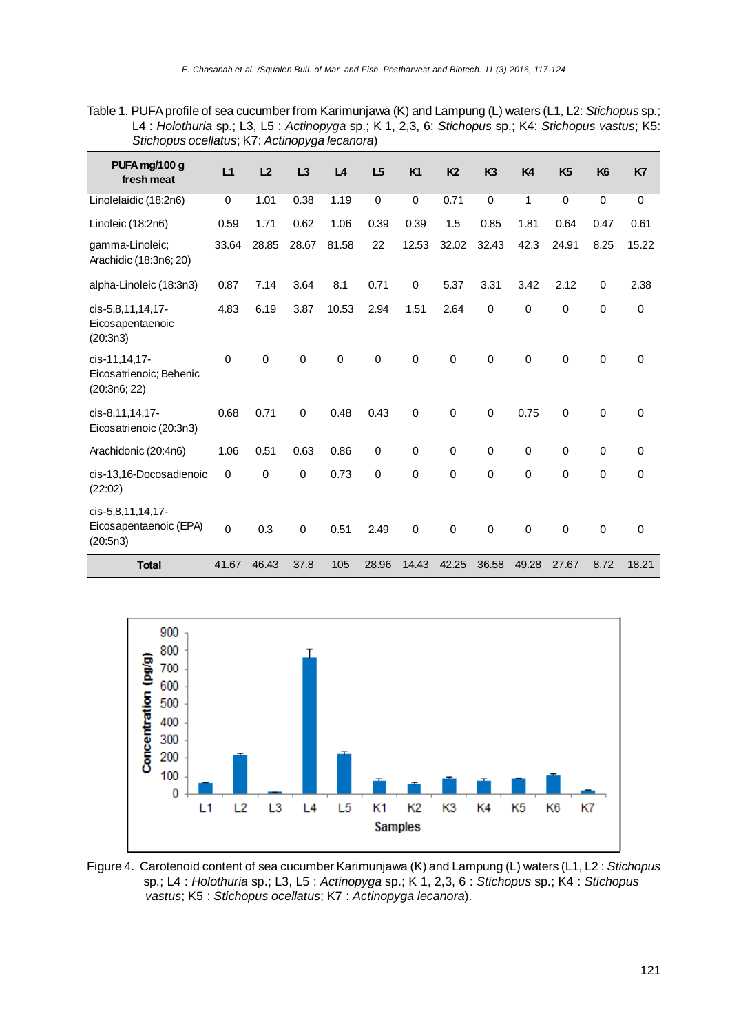Table 1. PUFA profile of sea cucumber from Karimunjawa (K) and Lampung (L) waters (L1, L2: *Stichopus* sp.; L4 : *Holothuria* sp.; L3, L5 : *Actinopyga* sp.; K 1, 2,3, 6: *Stichopus* sp.; K4: *Stichopus vastus*; K5: *Stichopus ocellatus*; K7: *Actinopyga lecanora*)

| PUFA mg/100 g<br>fresh meat                              | L1          | L <sub>2</sub> | L3    | L4          | L5          | <b>K1</b>   | K <sub>2</sub> | K <sub>3</sub> | K4          | K <sub>5</sub> | K <sub>6</sub>   | K7          |
|----------------------------------------------------------|-------------|----------------|-------|-------------|-------------|-------------|----------------|----------------|-------------|----------------|------------------|-------------|
| Linolelaidic (18:2n6)                                    | 0           | 1.01           | 0.38  | 1.19        | $\mathbf 0$ | $\mathbf 0$ | 0.71           | $\mathbf 0$    | 1           | $\mathbf 0$    | $\mathbf 0$      | $\mathbf 0$ |
| Linoleic (18:2n6)                                        | 0.59        | 1.71           | 0.62  | 1.06        | 0.39        | 0.39        | 1.5            | 0.85           | 1.81        | 0.64           | 0.47             | 0.61        |
| gamma-Linoleic;<br>Arachidic (18:3n6; 20)                | 33.64       | 28.85          | 28.67 | 81.58       | 22          | 12.53       | 32.02          | 32.43          | 42.3        | 24.91          | 8.25             | 15.22       |
| alpha-Linoleic (18:3n3)                                  | 0.87        | 7.14           | 3.64  | 8.1         | 0.71        | $\mathbf 0$ | 5.37           | 3.31           | 3.42        | 2.12           | $\mathbf 0$      | 2.38        |
| cis-5,8,11,14,17-<br>Eicosapentaenoic<br>(20:3n3)        | 4.83        | 6.19           | 3.87  | 10.53       | 2.94        | 1.51        | 2.64           | $\mathbf 0$    | $\mathbf 0$ | 0              | $\mathbf 0$      | $\mathbf 0$ |
| cis-11,14,17-<br>Eicosatrienoic; Behenic<br>(20:3n6; 22) | $\mathbf 0$ | $\mathbf 0$    | 0     | $\mathbf 0$ | $\mathbf 0$ | $\mathbf 0$ | $\mathbf 0$    | $\mathbf 0$    | $\mathbf 0$ | 0              | $\boldsymbol{0}$ | 0           |
| cis-8,11,14,17-<br>Eicosatrienoic (20:3n3)               | 0.68        | 0.71           | 0     | 0.48        | 0.43        | $\mathbf 0$ | $\mathbf 0$    | 0              | 0.75        | $\mathbf 0$    | $\boldsymbol{0}$ | $\mathbf 0$ |
| Arachidonic (20:4n6)                                     | 1.06        | 0.51           | 0.63  | 0.86        | $\mathbf 0$ | $\mathbf 0$ | $\mathbf 0$    | $\mathbf 0$    | $\mathbf 0$ | 0              | $\mathbf 0$      | 0           |
| cis-13,16-Docosadienoic<br>(22:02)                       | $\mathbf 0$ | $\mathbf 0$    | 0     | 0.73        | 0           | $\Omega$    | $\mathbf 0$    | 0              | $\mathbf 0$ | 0              | $\mathbf 0$      | $\mathbf 0$ |
| cis-5,8,11,14,17-<br>Eicosapentaenoic (EPA)<br>(20:5n3)  | $\mathbf 0$ | 0.3            | 0     | 0.51        | 2.49        | $\mathbf 0$ | $\Omega$       | $\mathbf 0$    | $\mathbf 0$ | $\mathbf 0$    | $\mathbf 0$      | $\mathbf 0$ |
| <b>Total</b>                                             | 41.67       | 46.43          | 37.8  | 105         | 28.96       | 14.43       | 42.25          | 36.58          | 49.28       | 27.67          | 8.72             | 18.21       |



Figure 4. Carotenoid content of sea cucumber Karimunjawa (K) and Lampung (L) waters (L1, L2 : *Stichopus* sp.; L4 : *Holothuria* sp.; L3, L5 : *Actinopyga* sp.; K 1, 2,3, 6 : *Stichopus* sp.; K4 : *Stichopus vastus*; K5 : *Stichopus ocellatus*; K7 : *Actinopyga lecanora*).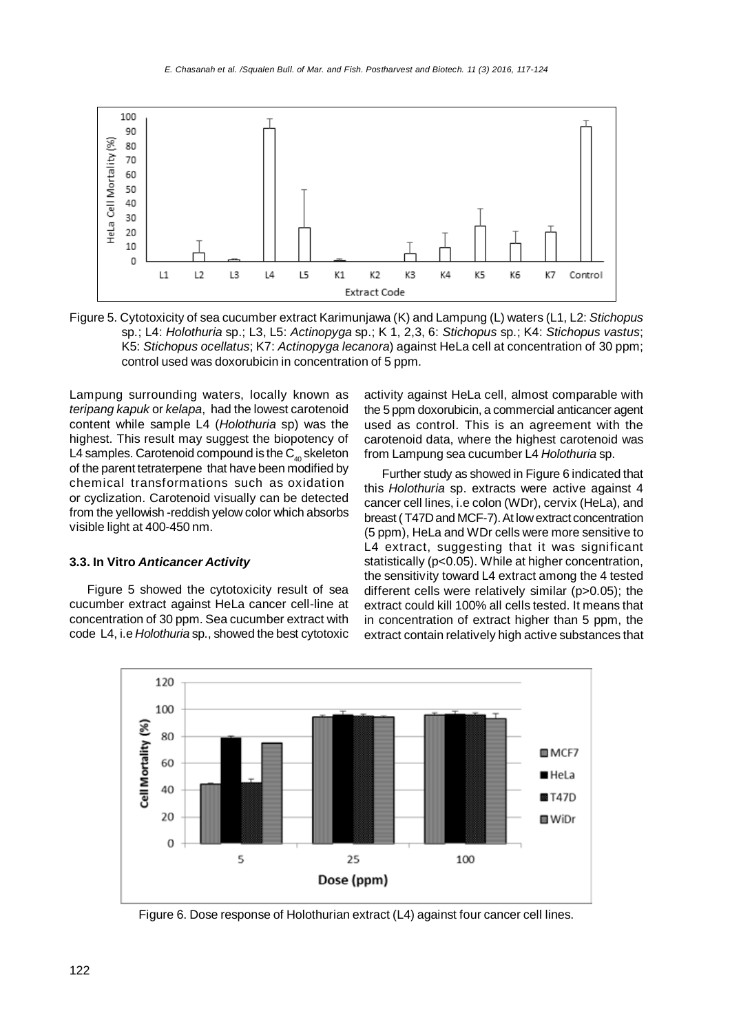

Figure 5. Cytotoxicity of sea cucumber extract Karimunjawa (K) and Lampung (L) waters (L1, L2: *Stichopus* sp.; L4: *Holothuria* sp.; L3, L5: *Actinopyga* sp.; K 1, 2,3, 6: *Stichopus* sp.; K4: *Stichopus vastus*; K5: *Stichopus ocellatus*; K7: *Actinopyga lecanora*) against HeLa cell at concentration of 30 ppm; control used was doxorubicin in concentration of 5 ppm.

Lampung surrounding waters, locally known as *teripang kapuk* or *kelapa*, had the lowest carotenoid content while sample L4 (*Holothuria* sp) was the highest. This result may suggest the biopotency of L4 samples. Carotenoid compound is the  $C_{40}$  skeleton of the parent tetraterpene that have been modified by chemical transformations such as oxidation or cyclization. Carotenoid visually can be detected from the yellowish -reddish yelow color which absorbs visible light at 400-450 nm.

## **3.3. In Vitro** *Anticancer Activity*

Figure 5 showed the cytotoxicity result of sea cucumber extract against HeLa cancer cell-line at concentration of 30 ppm. Sea cucumber extract with code L4, i.e *Holothuria* sp., showed the best cytotoxic

activity against HeLa cell, almost comparable with the 5 ppm doxorubicin, a commercial anticancer agent used as control. This is an agreement with the carotenoid data, where the highest carotenoid was from Lampung sea cucumber L4 *Holothuria* sp.

Further study as showed in Figure 6 indicated that this *Holothuria* sp. extracts were active against 4 cancer cell lines, i.e colon (WDr), cervix (HeLa), and breast ( T47D and MCF-7). At low extract concentration (5 ppm), HeLa and WDr cells were more sensitive to L4 extract, suggesting that it was significant statistically (p<0.05). While at higher concentration, the sensitivity toward L4 extract among the 4 tested different cells were relatively similar (p>0.05); the extract could kill 100% all cells tested. It means that in concentration of extract higher than 5 ppm, the extract contain relatively high active substances that



Figure 6. Dose response of Holothurian extract (L4) against four cancer cell lines.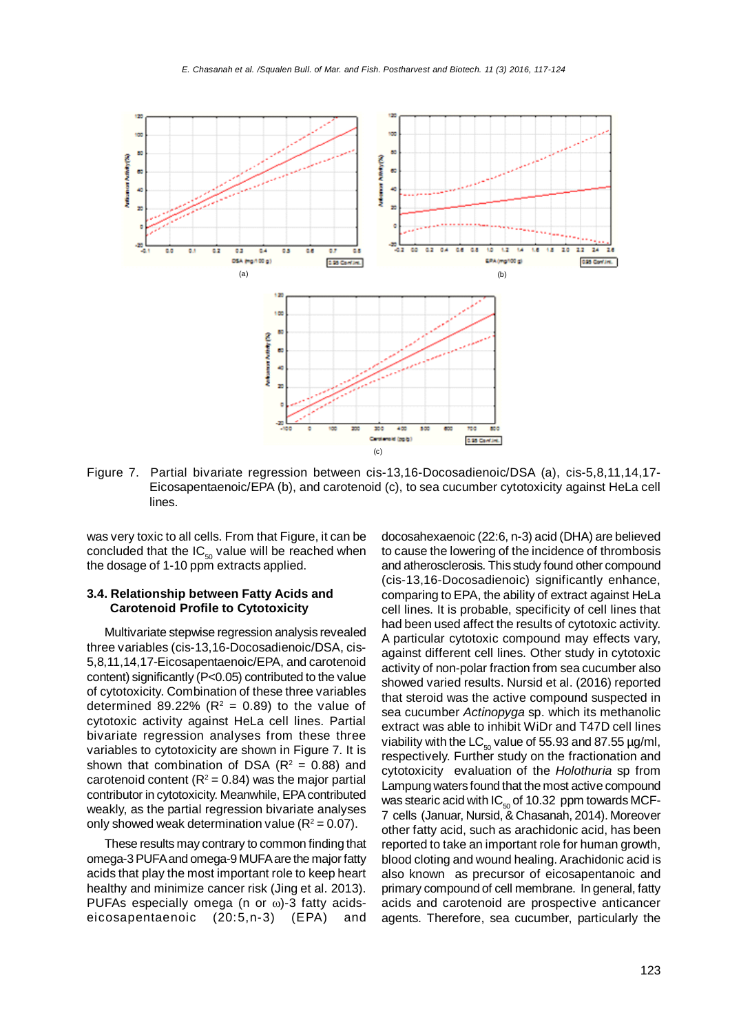

Figure 7. Partial bivariate regression between cis-13,16-Docosadienoic/DSA (a), cis-5,8,11,14,17- Eicosapentaenoic/EPA (b), and carotenoid (c), to sea cucumber cytotoxicity against HeLa cell lines.

was very toxic to all cells. From that Figure, it can be concluded that the  $IC_{50}$  value will be reached when the dosage of 1-10 ppm extracts applied.

### **3.4. Relationship between Fatty Acids and Carotenoid Profile to Cytotoxicity**

Multivariate stepwise regression analysis revealed three variables (cis-13,16-Docosadienoic/DSA, cis-5,8,11,14,17-Eicosapentaenoic/EPA, and carotenoid content) significantly (P<0.05) contributed to the value of cytotoxicity. Combination of these three variables determined 89.22% ( $R^2$  = 0.89) to the value of cytotoxic activity against HeLa cell lines. Partial bivariate regression analyses from these three variables to cytotoxicity are shown in Figure 7. It is shown that combination of DSA  $(R^2 = 0.88)$  and carotenoid content ( $R^2$  = 0.84) was the major partial contributor in cytotoxicity. Meanwhile, EPA contributed weakly, as the partial regression bivariate analyses only showed weak determination value  $(R^2 = 0.07)$ .

These results may contrary to common finding that omega-3 PUFA and omega-9 MUFA are the major fatty acids that play the most important role to keep heart healthy and minimize cancer risk (Jing et al. 2013). PUFAs especially omega (n or  $\omega$ )-3 fatty acidseicosapentaenoic (20:5,n-3) (EPA) and

docosahexaenoic (22:6, n-3) acid (DHA) are believed to cause the lowering of the incidence of thrombosis and atherosclerosis. This study found other compound (cis-13,16-Docosadienoic) significantly enhance, comparing to EPA, the ability of extract against HeLa cell lines. It is probable, specificity of cell lines that had been used affect the results of cytotoxic activity. A particular cytotoxic compound may effects vary, against different cell lines. Other study in cytotoxic activity of non-polar fraction from sea cucumber also showed varied results. Nursid et al. (2016) reported that steroid was the active compound suspected in sea cucumber *Actinopyga* sp. which its methanolic extract was able to inhibit WiDr and T47D cell lines viability with the  $LC_{50}$  value of 55.93 and 87.55 µg/ml, respectively. Further study on the fractionation and cytotoxicity evaluation of the *Holothuria* sp from Lampung waters found that the most active compound was stearic acid with  $IC_{50}$  of 10.32 ppm towards MCF-7 cells (Januar, Nursid, & Chasanah, 2014). Moreover other fatty acid, such as arachidonic acid, has been reported to take an important role for human growth, blood cloting and wound healing. Arachidonic acid is also known as precursor of eicosapentanoic and primary compound of cell membrane. In general, fatty acids and carotenoid are prospective anticancer agents. Therefore, sea cucumber, particularly the